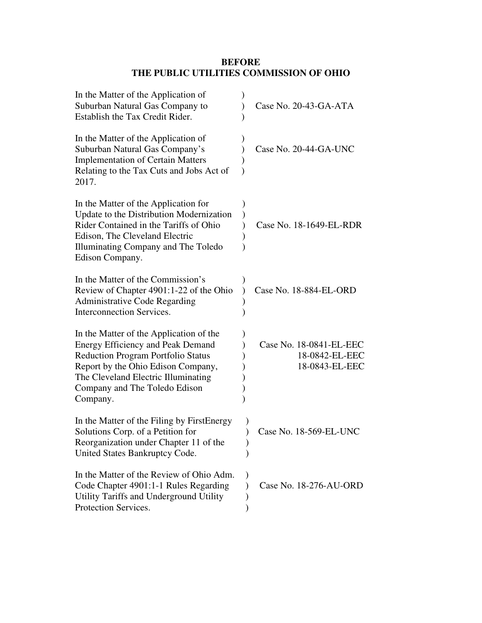# **BEFORE THE PUBLIC UTILITIES COMMISSION OF OHIO**

| In the Matter of the Application of<br>Suburban Natural Gas Company to<br>Establish the Tax Credit Rider.                                                                                                                                                  | Case No. 20-43-GA-ATA                                       |
|------------------------------------------------------------------------------------------------------------------------------------------------------------------------------------------------------------------------------------------------------------|-------------------------------------------------------------|
| In the Matter of the Application of<br>Suburban Natural Gas Company's<br><b>Implementation of Certain Matters</b><br>Relating to the Tax Cuts and Jobs Act of<br>2017.                                                                                     | Case No. 20-44-GA-UNC                                       |
| In the Matter of the Application for<br>Update to the Distribution Modernization<br>Rider Contained in the Tariffs of Ohio<br>Edison, The Cleveland Electric<br>Illuminating Company and The Toledo<br>Edison Company.                                     | Case No. 18-1649-EL-RDR                                     |
| In the Matter of the Commission's<br>Review of Chapter 4901:1-22 of the Ohio<br><b>Administrative Code Regarding</b><br><b>Interconnection Services.</b>                                                                                                   | Case No. 18-884-EL-ORD                                      |
| In the Matter of the Application of the<br><b>Energy Efficiency and Peak Demand</b><br><b>Reduction Program Portfolio Status</b><br>Report by the Ohio Edison Company,<br>The Cleveland Electric Illuminating<br>Company and The Toledo Edison<br>Company. | Case No. 18-0841-EL-EEC<br>18-0842-EL-EEC<br>18-0843-EL-EEC |
| In the Matter of the Filing by First Energy<br>Solutions Corp. of a Petition for<br>Reorganization under Chapter 11 of the<br>United States Bankruptcy Code.                                                                                               | Case No. 18-569-EL-UNC                                      |
| In the Matter of the Review of Ohio Adm.<br>Code Chapter 4901:1-1 Rules Regarding<br>Utility Tariffs and Underground Utility<br>Protection Services.                                                                                                       | Case No. 18-276-AU-ORD                                      |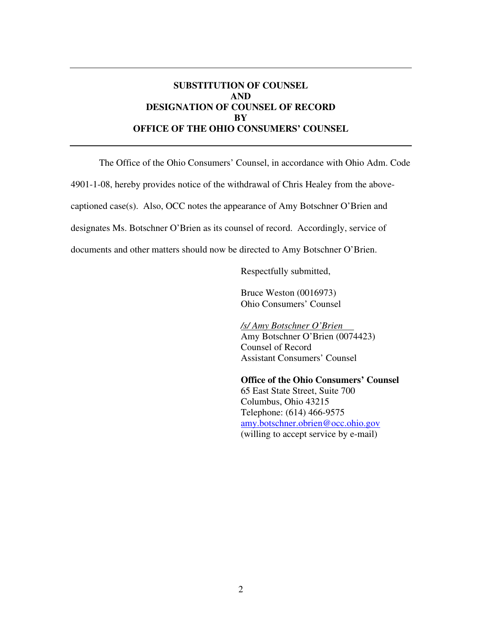### **SUBSTITUTION OF COUNSEL AND DESIGNATION OF COUNSEL OF RECORD BY OFFICE OF THE OHIO CONSUMERS' COUNSEL**

The Office of the Ohio Consumers' Counsel, in accordance with Ohio Adm. Code

4901-1-08, hereby provides notice of the withdrawal of Chris Healey from the above-

captioned case(s). Also, OCC notes the appearance of Amy Botschner O'Brien and

designates Ms. Botschner O'Brien as its counsel of record. Accordingly, service of

documents and other matters should now be directed to Amy Botschner O'Brien.

Respectfully submitted,

Bruce Weston (0016973) Ohio Consumers' Counsel

*/s/ Amy Botschner O'Brien*  Amy Botschner O'Brien (0074423) Counsel of Record Assistant Consumers' Counsel

**Office of the Ohio Consumers' Counsel**  65 East State Street, Suite 700 Columbus, Ohio 43215 Telephone: (614) 466-9575 amy.botschner.obrien@occ.ohio.gov (willing to accept service by e-mail)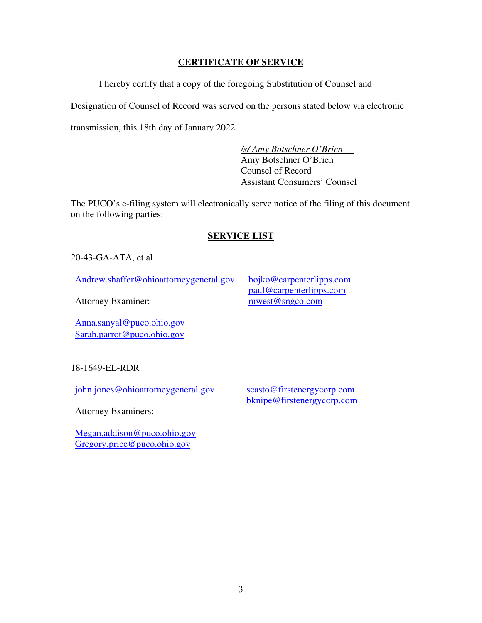### **CERTIFICATE OF SERVICE**

I hereby certify that a copy of the foregoing Substitution of Counsel and

Designation of Counsel of Record was served on the persons stated below via electronic

transmission, this 18th day of January 2022.

*/s/ Amy Botschner O'Brien*  Amy Botschner O'Brien Counsel of Record Assistant Consumers' Counsel

The PUCO's e-filing system will electronically serve notice of the filing of this document on the following parties:

# **SERVICE LIST**

20-43-GA-ATA, et al.

Andrew.shaffer@ohioattorneygeneral.gov bojko@carpenterlipps.com

paul@carpenterlipps.com mwest@sngco.com

Attorney Examiner:

Anna.sanyal@puco.ohio.gov Sarah.parrot@puco.ohio.gov

18-1649-EL-RDR

john.jones@ohioattorneygeneral.gov

scasto@firstenergycorp.com bknipe@firstenergycorp.com

Attorney Examiners:

Megan.addison@puco.ohio.gov Gregory.price@puco.ohio.gov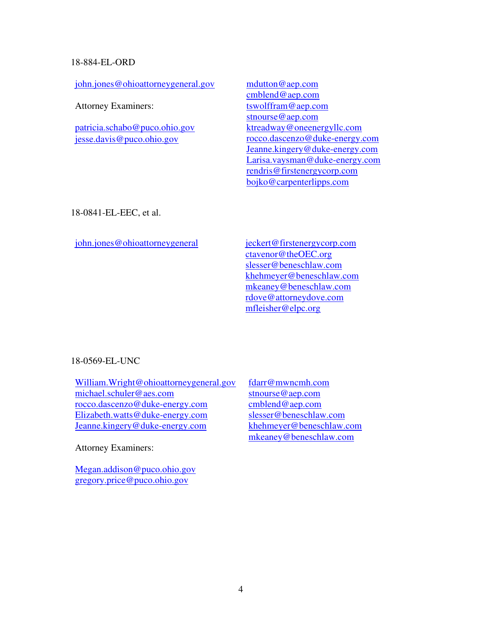#### 18-884-EL-ORD

john.jones@ohioattorneygeneral.gov

Attorney Examiners:

patricia.schabo@puco.ohio.gov jesse.davis@puco.ohio.gov

mdutton@aep.com cmblend@aep.com tswolffram@aep.com stnourse@aep.com ktreadway@oneenergyllc.com rocco.dascenzo@duke-energy.com Jeanne.kingery@duke-energy.com Larisa.vaysman@duke-energy.com rendris@firstenergycorp.com bojko@carpenterlipps.com

18-0841-EL-EEC, et al.

john.jones@ohioattorneygeneral jeckert@firstenergycorp.com

ctavenor@theOEC.org slesser@beneschlaw.com khehmeyer@beneschlaw.com mkeaney@beneschlaw.com rdove@attorneydove.com mfleisher@elpc.org

#### 18-0569-EL-UNC

William.Wright@ohioattorneygeneral.gov michael.schuler@aes.com rocco.dascenzo@duke-energy.com Elizabeth.watts@duke-energy.com Jeanne.kingery@duke-energy.com

Attorney Examiners:

Megan.addison@puco.ohio.gov gregory.price@puco.ohio.gov

fdarr@mwncmh.com stnourse@aep.com cmblend@aep.com slesser@beneschlaw.com khehmeyer@beneschlaw.com mkeaney@beneschlaw.com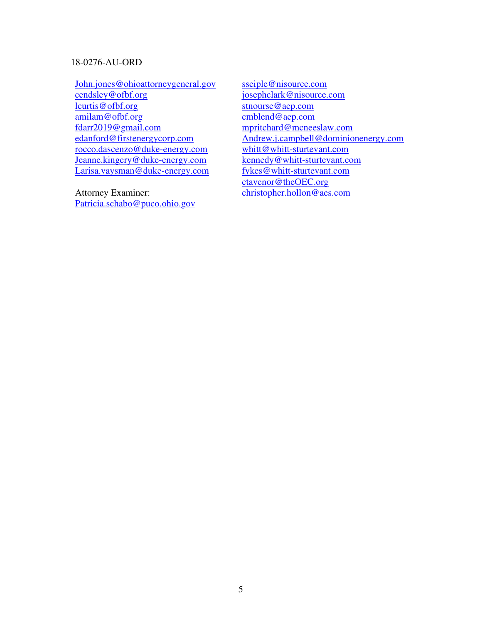#### 18-0276-AU-ORD

John.jones@ohioattorneygeneral.gov cendsley@ofbf.org lcurtis@ofbf.org amilam@ofbf.org fdarr2019@gmail.com edanford@firstenergycorp.com rocco.dascenzo@duke-energy.com Jeanne.kingery@duke-energy.com Larisa.vaysman@duke-energy.com

Attorney Examiner: Patricia.schabo@puco.ohio.gov sseiple@nisource.com josephclark@nisource.com stnourse@aep.com cmblend@aep.com mpritchard@mcneeslaw.com Andrew.j.campbell@dominionenergy.com whitt@whitt-sturtevant.com kennedy@whitt-sturtevant.com fykes@whitt-sturtevant.com ctavenor@theOEC.org christopher.hollon@aes.com